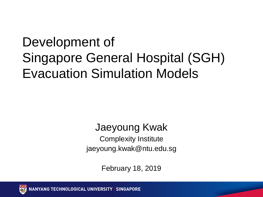#### Development of Singapore General Hospital (SGH) Evacuation Simulation Models

#### Jaeyoung Kwak Complexity Institute jaeyoung.kwak@ntu.edu.sg

February 18, 2019

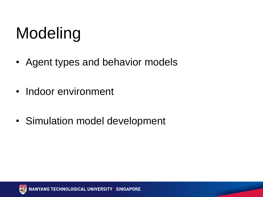# Modeling

- Agent types and behavior models
- Indoor environment
- Simulation model development

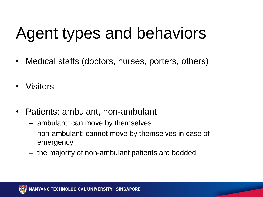## Agent types and behaviors

- Medical staffs (doctors, nurses, porters, others)
- Visitors
- Patients: ambulant, non-ambulant
	- ambulant: can move by themselves
	- non-ambulant: cannot move by themselves in case of emergency
	- the majority of non-ambulant patients are bedded

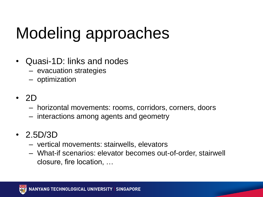# Modeling approaches

- Quasi-1D: links and nodes
	- evacuation strategies
	- optimization
- 2D
	- horizontal movements: rooms, corridors, corners, doors
	- interactions among agents and geometry

#### • 2.5D/3D

- vertical movements: stairwells, elevators
- What-if scenarios: elevator becomes out-of-order, stairwell closure, fire location, …

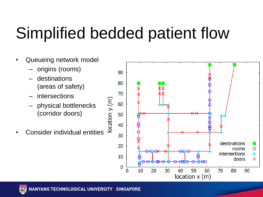## Simplified bedded patient flow

- Queueing network model
	- origins (rooms)
	- destinations (areas of safety)
	- intersections
	- physical bottlenecks (corridor doors)
- Consider individual entities



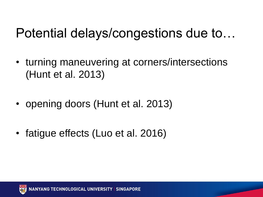#### Potential delays/congestions due to…

- turning maneuvering at corners/intersections (Hunt et al. 2013)
- opening doors (Hunt et al. 2013)
- fatigue effects (Luo et al. 2016)

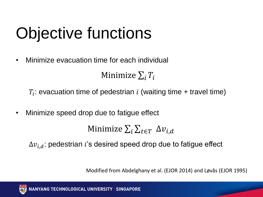# Objective functions

• Minimize evacuation time for each individual

Minimize  $\sum_i T_i$ 

 $T_i$ : evacuation time of pedestrian i (waiting time + travel time)

• Minimize speed drop due to fatigue effect

Minimize  $\sum_i \sum_{t \in T} \Delta v_{i,d}$ 

 $\Delta v_{i,d}$ : pedestrian *i*'s desired speed drop due to fatigue effect

Modified from Abdelghany et al. (EJOR 2014) and Løvås (EJOR 1995)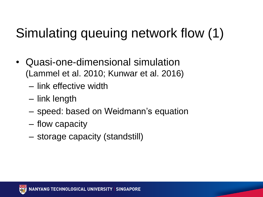### Simulating queuing network flow (1)

- Quasi-one-dimensional simulation (Lammel et al. 2010; Kunwar et al. 2016)
	- link effective width
	- link length
	- speed: based on Weidmann's equation
	- flow capacity
	- storage capacity (standstill)

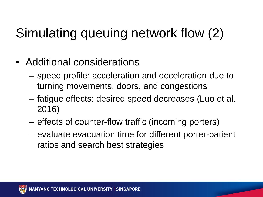### Simulating queuing network flow (2)

- Additional considerations
	- speed profile: acceleration and deceleration due to turning movements, doors, and congestions
	- fatigue effects: desired speed decreases (Luo et al. 2016)
	- effects of counter-flow traffic (incoming porters)
	- evaluate evacuation time for different porter-patient ratios and search best strategies

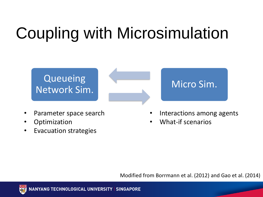## Coupling with Microsimulation

#### **Queueing** Network Sim.<br>Network Sim.

- Parameter space search
- Optimization
- Evacuation strategies



- Interactions among agents
- What-if scenarios

Modified from Borrmann et al. (2012) and Gao et al. (2014)

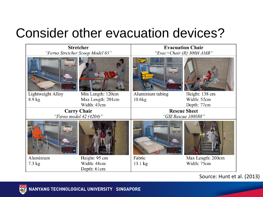#### Consider other evacuation devices?



Source: Hunt et al. (2013)

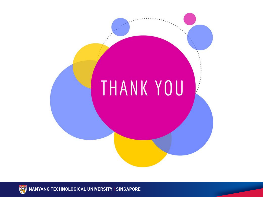



**NANYANG TECHNOLOGICAL UNIVERSITY | SINGAPORE**